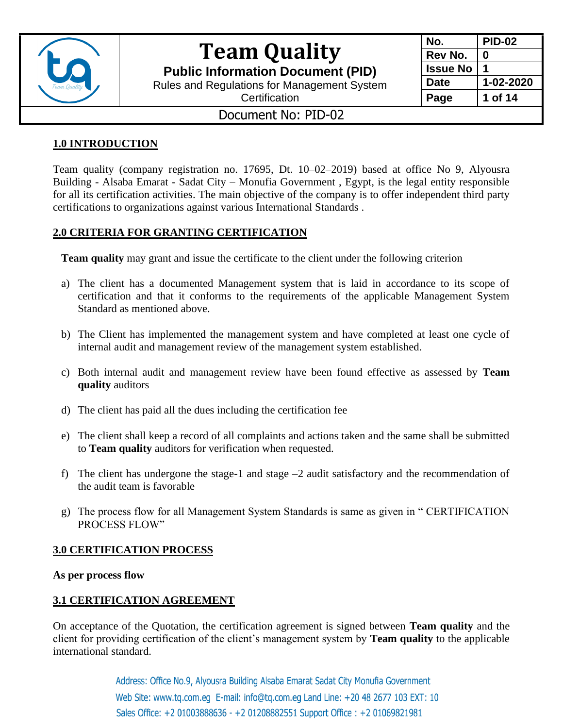

**Public Information Document (PID)**

Rules and Regulations for Management System

| No.             | <b>PID-02</b> |
|-----------------|---------------|
| Rev No.         | 0             |
| <b>Issue No</b> |               |
| <b>Date</b>     | 1-02-2020     |
| Page            | 1 of 14       |

**Certification** 

### Document No: PID-02

### **1.0 INTRODUCTION**

Team quality (company registration no. 17695, Dt. 10–02–2019) based at office No 9, Alyousra Building - Alsaba Emarat - Sadat City – Monufia Government , Egypt, is the legal entity responsible for all its certification activities. The main objective of the company is to offer independent third party certifications to organizations against various International Standards .

### **2.0 CRITERIA FOR GRANTING CERTIFICATION**

**Team quality** may grant and issue the certificate to the client under the following criterion

- a) The client has a documented Management system that is laid in accordance to its scope of certification and that it conforms to the requirements of the applicable Management System Standard as mentioned above.
- b) The Client has implemented the management system and have completed at least one cycle of internal audit and management review of the management system established.
- c) Both internal audit and management review have been found effective as assessed by **Team quality** auditors
- d) The client has paid all the dues including the certification fee
- e) The client shall keep a record of all complaints and actions taken and the same shall be submitted to **Team quality** auditors for verification when requested.
- f) The client has undergone the stage-1 and stage –2 audit satisfactory and the recommendation of the audit team is favorable
- g) The process flow for all Management System Standards is same as given in " CERTIFICATION PROCESS FLOW"

### **3.0 CERTIFICATION PROCESS**

#### **As per process flow**

### **3.1 CERTIFICATION AGREEMENT**

On acceptance of the Quotation, the certification agreement is signed between **Team quality** and the client for providing certification of the client's management system by **Team quality** to the applicable international standard.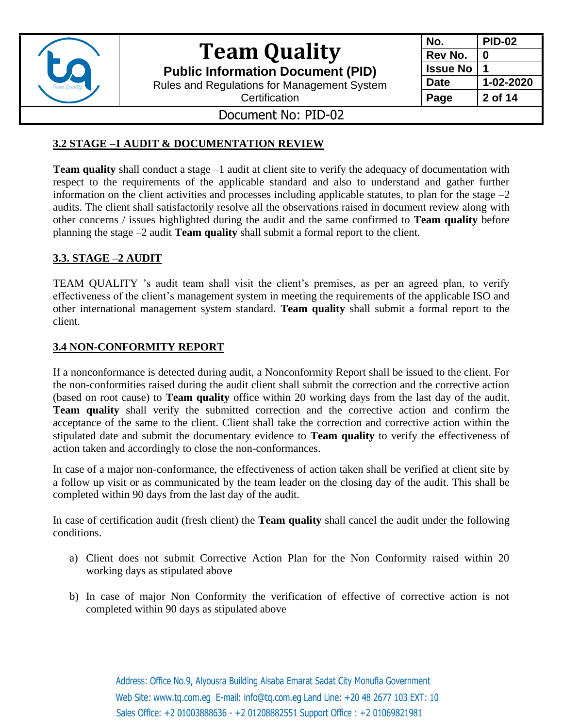

**Public Information Document (PID)**

Rules and Regulations for Management System

**No. PID-02 Rev No. 0 Issue No 1 Date 1-02-2020 Page 2 of 14**

**Certification** 

## Document No: PID-02

### **3.2 STAGE –1 AUDIT & DOCUMENTATION REVIEW**

**Team quality** shall conduct a stage –1 audit at client site to verify the adequacy of documentation with respect to the requirements of the applicable standard and also to understand and gather further information on the client activities and processes including applicable statutes, to plan for the stage  $-2$ audits. The client shall satisfactorily resolve all the observations raised in document review along with other concerns / issues highlighted during the audit and the same confirmed to **Team quality** before planning the stage –2 audit **Team quality** shall submit a formal report to the client.

### **3.3. STAGE –2 AUDIT**

TEAM QUALITY 's audit team shall visit the client's premises, as per an agreed plan, to verify effectiveness of the client's management system in meeting the requirements of the applicable ISO and other international management system standard. **Team quality** shall submit a formal report to the client.

### **3.4 NON-CONFORMITY REPORT**

If a nonconformance is detected during audit, a Nonconformity Report shall be issued to the client. For the non-conformities raised during the audit client shall submit the correction and the corrective action (based on root cause) to **Team quality** office within 20 working days from the last day of the audit. **Team quality** shall verify the submitted correction and the corrective action and confirm the acceptance of the same to the client. Client shall take the correction and corrective action within the stipulated date and submit the documentary evidence to **Team quality** to verify the effectiveness of action taken and accordingly to close the non-conformances.

In case of a major non-conformance, the effectiveness of action taken shall be verified at client site by a follow up visit or as communicated by the team leader on the closing day of the audit. This shall be completed within 90 days from the last day of the audit.

In case of certification audit (fresh client) the **Team quality** shall cancel the audit under the following conditions.

- a) Client does not submit Corrective Action Plan for the Non Conformity raised within 20 working days as stipulated above
- b) In case of major Non Conformity the verification of effective of corrective action is not completed within 90 days as stipulated above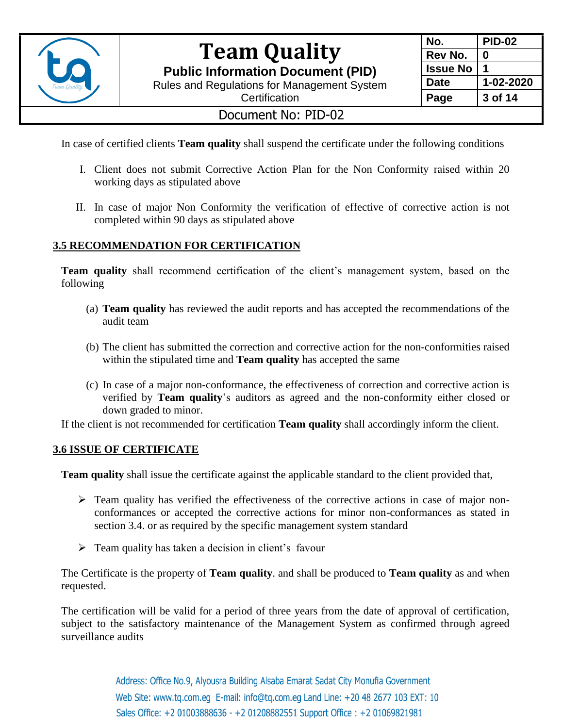

**Public Information Document (PID)**

Rules and Regulations for Management System **Certification** 

| No.             | <b>PID-02</b> |
|-----------------|---------------|
| Rev No.         | 0             |
| <b>Issue No</b> |               |
| <b>Date</b>     | 1-02-2020     |
| Page            | 3 of 14       |

### Document No: PID-02

In case of certified clients **Team quality** shall suspend the certificate under the following conditions

- I. Client does not submit Corrective Action Plan for the Non Conformity raised within 20 working days as stipulated above
- II. In case of major Non Conformity the verification of effective of corrective action is not completed within 90 days as stipulated above

### **3.5 RECOMMENDATION FOR CERTIFICATION**

**Team quality** shall recommend certification of the client's management system, based on the following

- (a) **Team quality** has reviewed the audit reports and has accepted the recommendations of the audit team
- (b) The client has submitted the correction and corrective action for the non-conformities raised within the stipulated time and **Team quality** has accepted the same
- (c) In case of a major non-conformance, the effectiveness of correction and corrective action is verified by **Team quality**'s auditors as agreed and the non-conformity either closed or down graded to minor.

If the client is not recommended for certification **Team quality** shall accordingly inform the client.

#### **3.6 ISSUE OF CERTIFICATE**

**Team quality** shall issue the certificate against the applicable standard to the client provided that,

- ➢ Team quality has verified the effectiveness of the corrective actions in case of major nonconformances or accepted the corrective actions for minor non-conformances as stated in section 3.4. or as required by the specific management system standard
- $\triangleright$  Team quality has taken a decision in client's favour

The Certificate is the property of **Team quality**. and shall be produced to **Team quality** as and when requested.

The certification will be valid for a period of three years from the date of approval of certification, subject to the satisfactory maintenance of the Management System as confirmed through agreed surveillance audits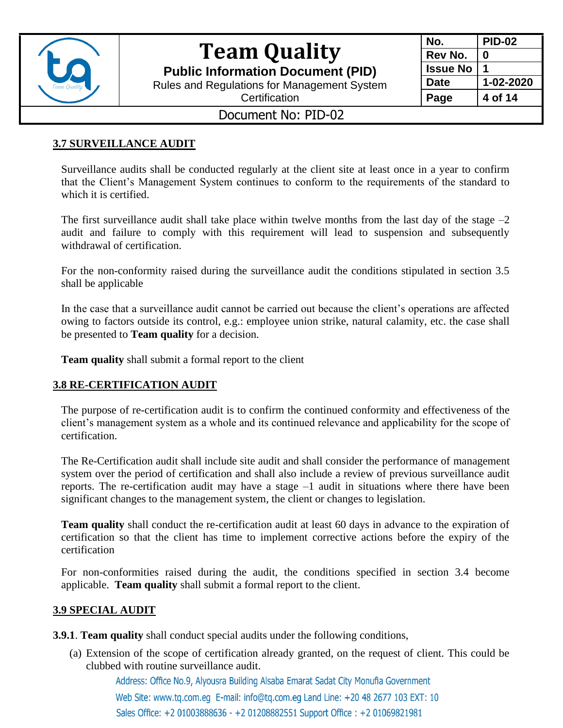

**Public Information Document (PID)**

Rules and Regulations for Management System

| No.             | PID-02    |
|-----------------|-----------|
| Rev No.         | 0         |
| <b>Issue No</b> |           |
| <b>Date</b>     | 1-02-2020 |
| Page            | 4 of 14   |

**Certification** 

### Document No: PID-02

#### **3.7 SURVEILLANCE AUDIT**

Surveillance audits shall be conducted regularly at the client site at least once in a year to confirm that the Client's Management System continues to conform to the requirements of the standard to which it is certified.

The first surveillance audit shall take place within twelve months from the last day of the stage  $-2$ audit and failure to comply with this requirement will lead to suspension and subsequently withdrawal of certification.

For the non-conformity raised during the surveillance audit the conditions stipulated in section 3.5 shall be applicable

In the case that a surveillance audit cannot be carried out because the client's operations are affected owing to factors outside its control, e.g.: employee union strike, natural calamity, etc. the case shall be presented to **Team quality** for a decision.

**Team quality** shall submit a formal report to the client

#### **3.8 RE-CERTIFICATION AUDIT**

The purpose of re-certification audit is to confirm the continued conformity and effectiveness of the client's management system as a whole and its continued relevance and applicability for the scope of certification.

The Re-Certification audit shall include site audit and shall consider the performance of management system over the period of certification and shall also include a review of previous surveillance audit reports. The re-certification audit may have a stage  $-1$  audit in situations where there have been significant changes to the management system, the client or changes to legislation.

**Team quality** shall conduct the re-certification audit at least 60 days in advance to the expiration of certification so that the client has time to implement corrective actions before the expiry of the certification

For non-conformities raised during the audit, the conditions specified in section 3.4 become applicable. **Team quality** shall submit a formal report to the client.

### **3.9 SPECIAL AUDIT**

**3.9.1**. **Team quality** shall conduct special audits under the following conditions,

(a) Extension of the scope of certification already granted, on the request of client. This could be clubbed with routine surveillance audit.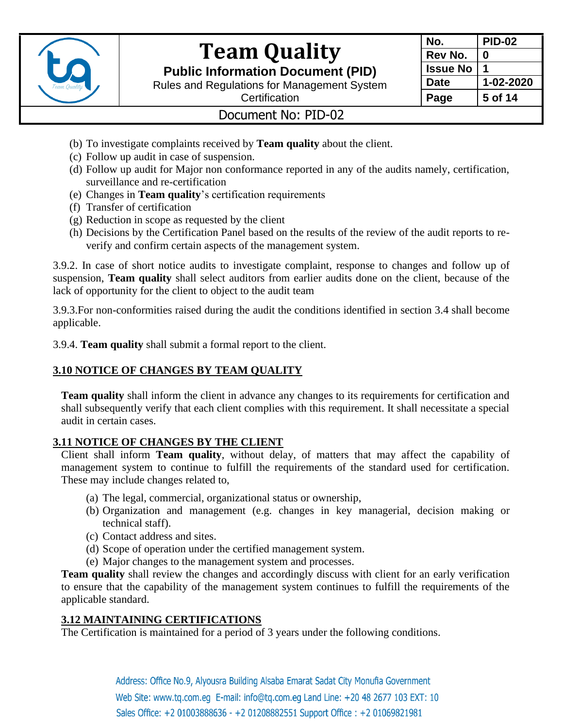

**Public Information Document (PID)**

Rules and Regulations for Management System



**Certification** 

## Document No: PID-02

- (b) To investigate complaints received by **Team quality** about the client.
- (c) Follow up audit in case of suspension.
- (d) Follow up audit for Major non conformance reported in any of the audits namely, certification, surveillance and re-certification
- (e) Changes in **Team quality**'s certification requirements
- (f) Transfer of certification
- (g) Reduction in scope as requested by the client
- (h) Decisions by the Certification Panel based on the results of the review of the audit reports to reverify and confirm certain aspects of the management system.

3.9.2. In case of short notice audits to investigate complaint, response to changes and follow up of suspension, **Team quality** shall select auditors from earlier audits done on the client, because of the lack of opportunity for the client to object to the audit team

3.9.3.For non-conformities raised during the audit the conditions identified in section 3.4 shall become applicable.

3.9.4. **Team quality** shall submit a formal report to the client.

### **3.10 NOTICE OF CHANGES BY TEAM QUALITY**

**Team quality** shall inform the client in advance any changes to its requirements for certification and shall subsequently verify that each client complies with this requirement. It shall necessitate a special audit in certain cases.

### **3.11 NOTICE OF CHANGES BY THE CLIENT**

Client shall inform **Team quality**, without delay, of matters that may affect the capability of management system to continue to fulfill the requirements of the standard used for certification. These may include changes related to,

- (a) The legal, commercial, organizational status or ownership,
- (b) Organization and management (e.g. changes in key managerial, decision making or technical staff).
- (c) Contact address and sites.
- (d) Scope of operation under the certified management system.
- (e) Major changes to the management system and processes.

**Team quality** shall review the changes and accordingly discuss with client for an early verification to ensure that the capability of the management system continues to fulfill the requirements of the applicable standard.

### **3.12 MAINTAINING CERTIFICATIONS**

The Certification is maintained for a period of 3 years under the following conditions.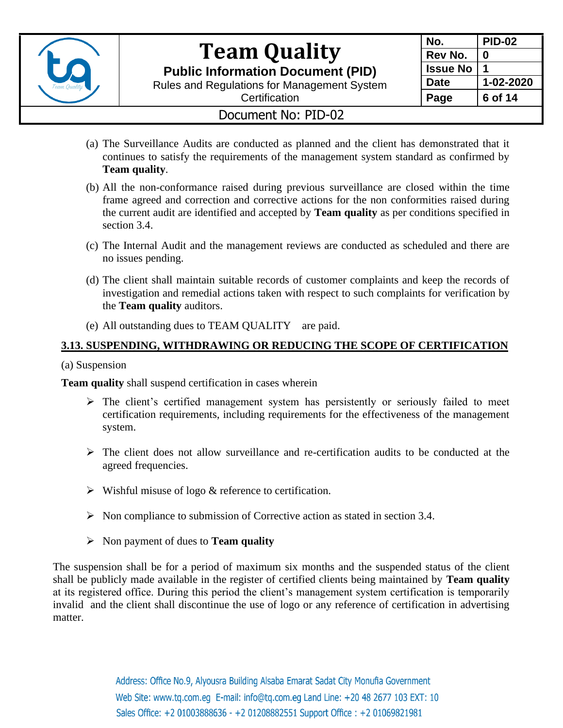

**Public Information Document (PID)**

Rules and Regulations for Management System

| No.             | <b>PID-02</b> |
|-----------------|---------------|
| Rev No.         | Λ             |
| <b>Issue No</b> |               |
| Date            | 1-02-2020     |
| Page            | 6 of 14       |

## **Certification**

### Document No: PID-02

- (a) The Surveillance Audits are conducted as planned and the client has demonstrated that it continues to satisfy the requirements of the management system standard as confirmed by **Team quality**.
- (b) All the non-conformance raised during previous surveillance are closed within the time frame agreed and correction and corrective actions for the non conformities raised during the current audit are identified and accepted by **Team quality** as per conditions specified in section 3.4.
- (c) The Internal Audit and the management reviews are conducted as scheduled and there are no issues pending.
- (d) The client shall maintain suitable records of customer complaints and keep the records of investigation and remedial actions taken with respect to such complaints for verification by the **Team quality** auditors.
- (e) All outstanding dues to TEAM QUALITY are paid.

### **3.13. SUSPENDING, WITHDRAWING OR REDUCING THE SCOPE OF CERTIFICATION**

(a) Suspension

**Team quality** shall suspend certification in cases wherein

- $\triangleright$  The client's certified management system has persistently or seriously failed to meet certification requirements, including requirements for the effectiveness of the management system.
- $\triangleright$  The client does not allow surveillance and re-certification audits to be conducted at the agreed frequencies.
- $\triangleright$  Wishful misuse of logo & reference to certification.
- ➢ Non compliance to submission of Corrective action as stated in section 3.4.
- ➢ Non payment of dues to **Team quality**

The suspension shall be for a period of maximum six months and the suspended status of the client shall be publicly made available in the register of certified clients being maintained by **Team quality** at its registered office. During this period the client's management system certification is temporarily invalid and the client shall discontinue the use of logo or any reference of certification in advertising matter.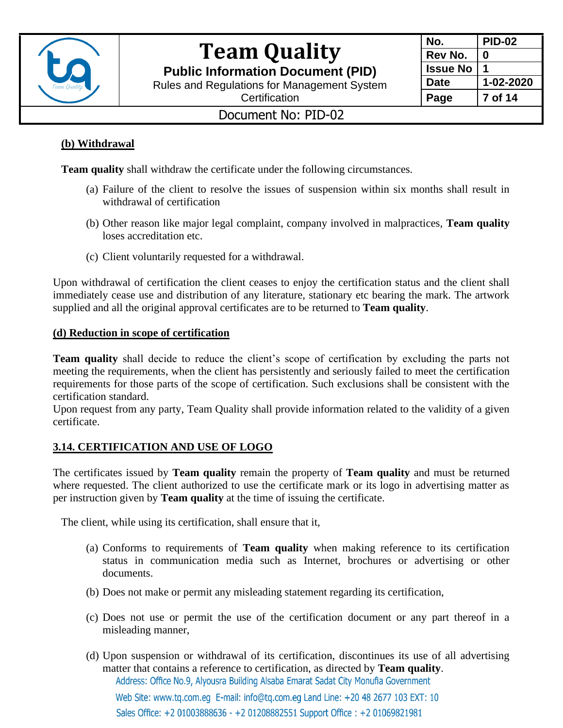

**Public Information Document (PID)**

Rules and Regulations for Management System

| No.             | <b>PID-02</b> |
|-----------------|---------------|
| Rev No.         | 0             |
| <b>Issue No</b> |               |
| <b>Date</b>     | 1-02-2020     |
| Page            | 7 of 14       |

**Certification** 

## Document No: PID-02

### **(b) Withdrawal**

**Team quality** shall withdraw the certificate under the following circumstances.

- (a) Failure of the client to resolve the issues of suspension within six months shall result in withdrawal of certification
- (b) Other reason like major legal complaint, company involved in malpractices, **Team quality** loses accreditation etc.
- (c) Client voluntarily requested for a withdrawal.

Upon withdrawal of certification the client ceases to enjoy the certification status and the client shall immediately cease use and distribution of any literature, stationary etc bearing the mark. The artwork supplied and all the original approval certificates are to be returned to **Team quality**.

#### **(d) Reduction in scope of certification**

**Team quality** shall decide to reduce the client's scope of certification by excluding the parts not meeting the requirements, when the client has persistently and seriously failed to meet the certification requirements for those parts of the scope of certification. Such exclusions shall be consistent with the certification standard.

Upon request from any party, Team Quality shall provide information related to the validity of a given certificate.

### **3.14. CERTIFICATION AND USE OF LOGO**

The certificates issued by **Team quality** remain the property of **Team quality** and must be returned where requested. The client authorized to use the certificate mark or its logo in advertising matter as per instruction given by **Team quality** at the time of issuing the certificate.

The client, while using its certification, shall ensure that it,

- (a) Conforms to requirements of **Team quality** when making reference to its certification status in communication media such as Internet, brochures or advertising or other documents.
- (b) Does not make or permit any misleading statement regarding its certification,
- (c) Does not use or permit the use of the certification document or any part thereof in a misleading manner,
- (d) Upon suspension or withdrawal of its certification, discontinues its use of all advertising matter that contains a reference to certification, as directed by **Team quality**.Address: Office No.9, Alyousra Building Alsaba Emarat Sadat City Monufia Government

Web Site: www.tq.com.eq E-mail: info@tq.com.eq Land Line: +20 48 2677 103 EXT: 10 Sales Office: +2 01003888636 - +2 01208882551 Support Office: +2 01069821981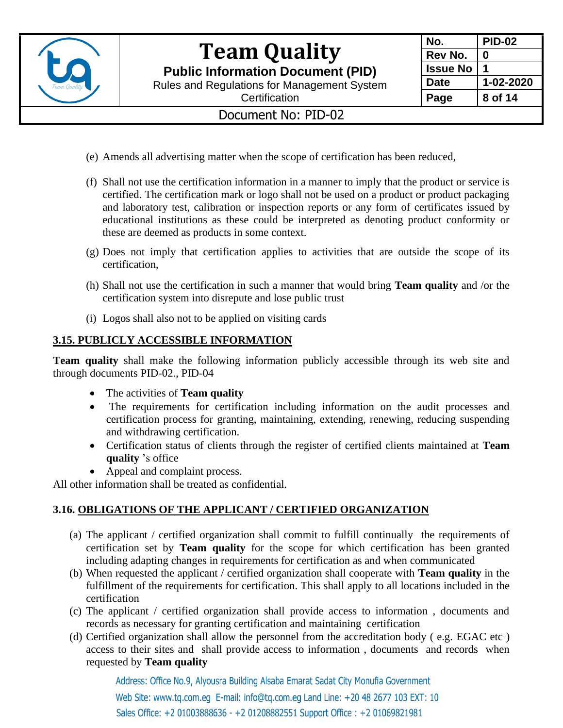

**Public Information Document (PID)**

Rules and Regulations for Management System



### **Certification**

### Document No: PID-02

- (e) Amends all advertising matter when the scope of certification has been reduced,
- (f) Shall not use the certification information in a manner to imply that the product or service is certified. The certification mark or logo shall not be used on a product or product packaging and laboratory test, calibration or inspection reports or any form of certificates issued by educational institutions as these could be interpreted as denoting product conformity or these are deemed as products in some context.
- (g) Does not imply that certification applies to activities that are outside the scope of its certification,
- (h) Shall not use the certification in such a manner that would bring **Team quality** and /or the certification system into disrepute and lose public trust
- (i) Logos shall also not to be applied on visiting cards

### **3.15. PUBLICLY ACCESSIBLE INFORMATION**

**Team quality** shall make the following information publicly accessible through its web site and through documents PID-02., PID-04

- The activities of **Team quality**
- The requirements for certification including information on the audit processes and certification process for granting, maintaining, extending, renewing, reducing suspending and withdrawing certification.
- Certification status of clients through the register of certified clients maintained at **Team quality** 's office
- Appeal and complaint process.

All other information shall be treated as confidential.

### **3.16. OBLIGATIONS OF THE APPLICANT / CERTIFIED ORGANIZATION**

- (a) The applicant / certified organization shall commit to fulfill continually the requirements of certification set by **Team quality** for the scope for which certification has been granted including adapting changes in requirements for certification as and when communicated
- (b) When requested the applicant / certified organization shall cooperate with **Team quality** in the fulfillment of the requirements for certification. This shall apply to all locations included in the certification
- (c) The applicant / certified organization shall provide access to information , documents and records as necessary for granting certification and maintaining certification
- (d) Certified organization shall allow the personnel from the accreditation body ( e.g. EGAC etc ) access to their sites and shall provide access to information , documents and records when requested by **Team quality**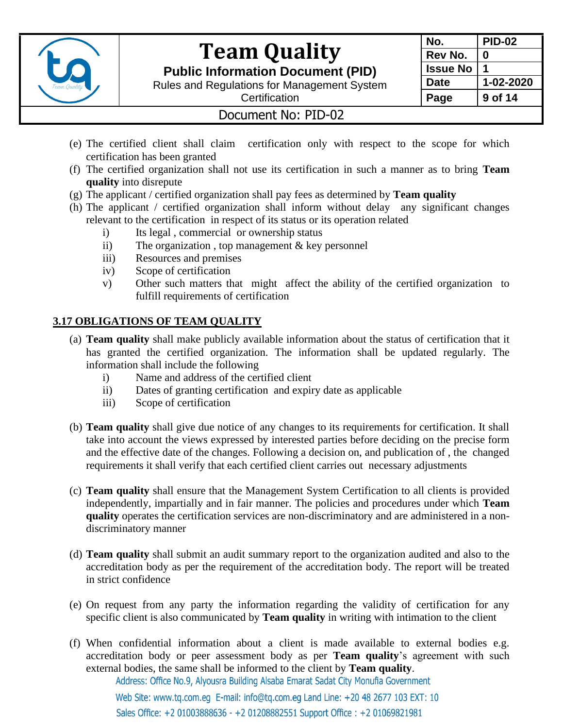

**Public Information Document (PID)**

Rules and Regulations for Management System

| No. |                 | PID-02    |
|-----|-----------------|-----------|
|     | Rev No.         | 0         |
|     | <b>Issue No</b> |           |
|     | <b>Date</b>     | 1-02-2020 |
|     | Page            | 9 of 14   |

### **Certification**

### Document No: PID-02

- (e) The certified client shall claim certification only with respect to the scope for which certification has been granted
- (f) The certified organization shall not use its certification in such a manner as to bring **Team quality** into disrepute
- (g) The applicant / certified organization shall pay fees as determined by **Team quality**
- (h) The applicant / certified organization shall inform without delay any significant changes relevant to the certification in respect of its status or its operation related
	- i) Its legal , commercial or ownership status
	- ii) The organization , top management & key personnel
	- iii) Resources and premises
	- iv) Scope of certification
	- v) Other such matters that might affect the ability of the certified organization to fulfill requirements of certification

### **3.17 OBLIGATIONS OF TEAM QUALITY**

- (a) **Team quality** shall make publicly available information about the status of certification that it has granted the certified organization. The information shall be updated regularly. The information shall include the following
	- i) Name and address of the certified client
	- ii) Dates of granting certification and expiry date as applicable
	- iii) Scope of certification
- (b) **Team quality** shall give due notice of any changes to its requirements for certification. It shall take into account the views expressed by interested parties before deciding on the precise form and the effective date of the changes. Following a decision on, and publication of , the changed requirements it shall verify that each certified client carries out necessary adjustments
- (c) **Team quality** shall ensure that the Management System Certification to all clients is provided independently, impartially and in fair manner. The policies and procedures under which **Team quality** operates the certification services are non-discriminatory and are administered in a nondiscriminatory manner
- (d) **Team quality** shall submit an audit summary report to the organization audited and also to the accreditation body as per the requirement of the accreditation body. The report will be treated in strict confidence
- (e) On request from any party the information regarding the validity of certification for any specific client is also communicated by **Team quality** in writing with intimation to the client
- (f) When confidential information about a client is made available to external bodies e.g. accreditation body or peer assessment body as per **Team quality**'s agreement with such external bodies, the same shall be informed to the client by **Team quality**.Address: Office No.9, Alyousra Building Alsaba Emarat Sadat City Monufia Government

Web Site: www.tq.com.eq E-mail: info@tq.com.eq Land Line: +20 48 2677 103 EXT: 10 Sales Office: +2 01003888636 - +2 01208882551 Support Office: +2 01069821981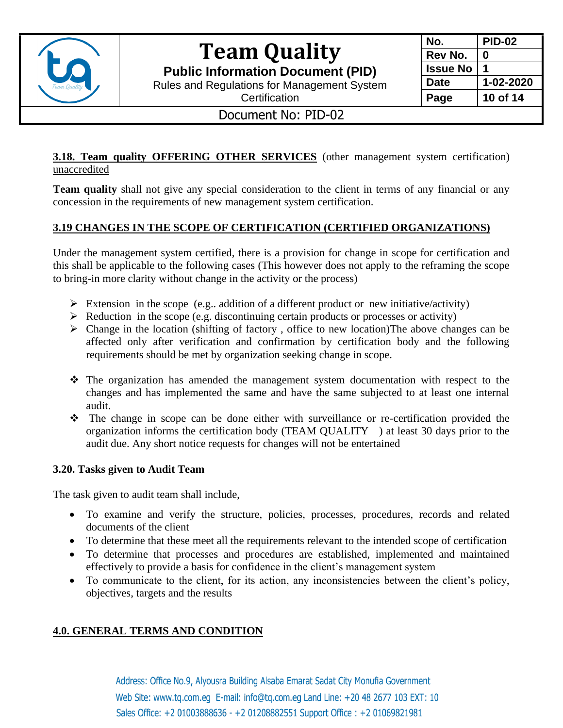

**Public Information Document (PID)**

Rules and Regulations for Management System

| No.             | <b>PID-02</b> |
|-----------------|---------------|
| Rev No.         | 0             |
| <b>Issue No</b> |               |
| <b>Date</b>     | 1-02-2020     |
| Page            | 10 of 14      |

**Certification** Document No: PID-02

#### **3.18. Team quality OFFERING OTHER SERVICES** (other management system certification) unaccredited

**Team quality** shall not give any special consideration to the client in terms of any financial or any concession in the requirements of new management system certification.

### **3.19 CHANGES IN THE SCOPE OF CERTIFICATION (CERTIFIED ORGANIZATIONS)**

Under the management system certified, there is a provision for change in scope for certification and this shall be applicable to the following cases (This however does not apply to the reframing the scope to bring-in more clarity without change in the activity or the process)

- $\triangleright$  Extension in the scope (e.g.. addition of a different product or new initiative/activity)
- $\triangleright$  Reduction in the scope (e.g. discontinuing certain products or processes or activity)
- $\triangleright$  Change in the location (shifting of factory, office to new location) The above changes can be affected only after verification and confirmation by certification body and the following requirements should be met by organization seeking change in scope.
- ❖ The organization has amended the management system documentation with respect to the changes and has implemented the same and have the same subjected to at least one internal audit.
- ❖ The change in scope can be done either with surveillance or re-certification provided the organization informs the certification body (TEAM QUALITY ) at least 30 days prior to the audit due. Any short notice requests for changes will not be entertained

#### **3.20. Tasks given to Audit Team**

The task given to audit team shall include,

- To examine and verify the structure, policies, processes, procedures, records and related documents of the client
- To determine that these meet all the requirements relevant to the intended scope of certification
- To determine that processes and procedures are established, implemented and maintained effectively to provide a basis for confidence in the client's management system
- To communicate to the client, for its action, any inconsistencies between the client's policy, objectives, targets and the results

### **4.0. GENERAL TERMS AND CONDITION**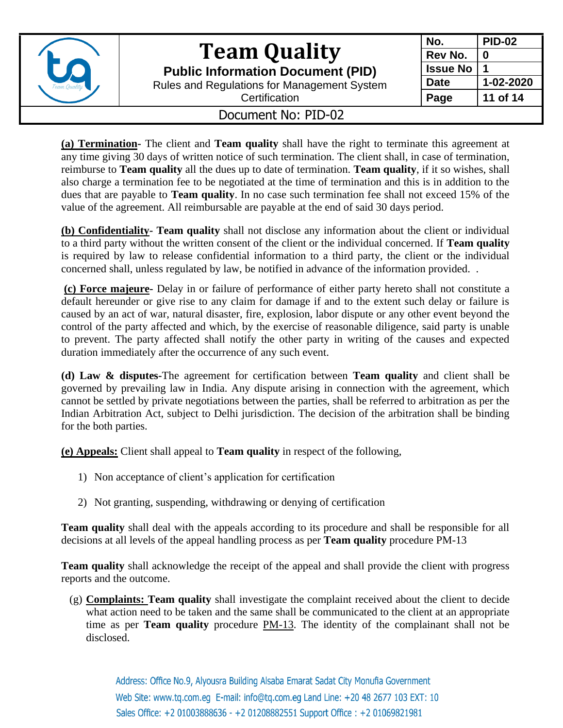

**Public Information Document (PID)**

Rules and Regulations for Management System

| No.             | <b>PID-02</b> |
|-----------------|---------------|
| Rev No.         | O             |
| <b>Issue No</b> |               |
| <b>Date</b>     | 1-02-2020     |
| Page            | 11 of 14      |

**Certification** 

### Document No: PID-02

**(a) Termination-** The client and **Team quality** shall have the right to terminate this agreement at any time giving 30 days of written notice of such termination. The client shall, in case of termination, reimburse to **Team quality** all the dues up to date of termination. **Team quality**, if it so wishes, shall also charge a termination fee to be negotiated at the time of termination and this is in addition to the dues that are payable to **Team quality**. In no case such termination fee shall not exceed 15% of the value of the agreement. All reimbursable are payable at the end of said 30 days period.

**(b) Confidentiality- Team quality** shall not disclose any information about the client or individual to a third party without the written consent of the client or the individual concerned. If **Team quality** is required by law to release confidential information to a third party, the client or the individual concerned shall, unless regulated by law, be notified in advance of the information provided. .

**(c) Force majeure-** Delay in or failure of performance of either party hereto shall not constitute a default hereunder or give rise to any claim for damage if and to the extent such delay or failure is caused by an act of war, natural disaster, fire, explosion, labor dispute or any other event beyond the control of the party affected and which, by the exercise of reasonable diligence, said party is unable to prevent. The party affected shall notify the other party in writing of the causes and expected duration immediately after the occurrence of any such event.

**(d) Law & disputes-**The agreement for certification between **Team quality** and client shall be governed by prevailing law in India. Any dispute arising in connection with the agreement, which cannot be settled by private negotiations between the parties, shall be referred to arbitration as per the Indian Arbitration Act, subject to Delhi jurisdiction. The decision of the arbitration shall be binding for the both parties.

**(e) Appeals:** Client shall appeal to **Team quality** in respect of the following,

- 1) Non acceptance of client's application for certification
- 2) Not granting, suspending, withdrawing or denying of certification

**Team quality** shall deal with the appeals according to its procedure and shall be responsible for all decisions at all levels of the appeal handling process as per **Team quality** procedure PM-13

**Team quality** shall acknowledge the receipt of the appeal and shall provide the client with progress reports and the outcome.

(g) **Complaints: Team quality** shall investigate the complaint received about the client to decide what action need to be taken and the same shall be communicated to the client at an appropriate time as per **Team quality** procedure PM-13. The identity of the complainant shall not be disclosed.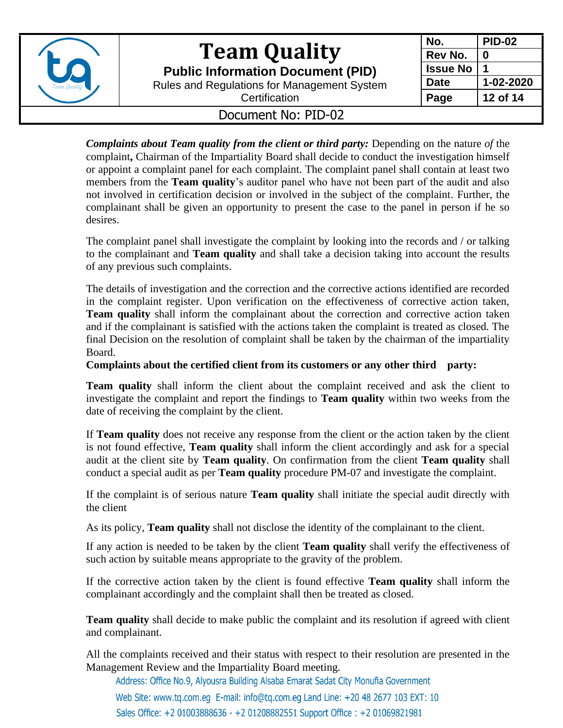

**Public Information Document (PID)**

Rules and Regulations for Management System

| No.             | <b>PID-02</b> |
|-----------------|---------------|
| Rev No.         | 0             |
| <b>Issue No</b> |               |
| <b>Date</b>     | 1-02-2020     |
| Page            | 12 of 14      |

**Certification** 

### Document No: PID-02

*Complaints about Team quality from the client or third party:* Depending on the nature *of* the complaint**,** Chairman of the Impartiality Board shall decide to conduct the investigation himself or appoint a complaint panel for each complaint. The complaint panel shall contain at least two members from the **Team quality**'s auditor panel who have not been part of the audit and also not involved in certification decision or involved in the subject of the complaint. Further, the complainant shall be given an opportunity to present the case to the panel in person if he so desires.

The complaint panel shall investigate the complaint by looking into the records and / or talking to the complainant and **Team quality** and shall take a decision taking into account the results of any previous such complaints.

The details of investigation and the correction and the corrective actions identified are recorded in the complaint register. Upon verification on the effectiveness of corrective action taken, **Team quality** shall inform the complainant about the correction and corrective action taken and if the complainant is satisfied with the actions taken the complaint is treated as closed. The final Decision on the resolution of complaint shall be taken by the chairman of the impartiality Board.

**Complaints about the certified client from its customers or any other third party:**

**Team quality** shall inform the client about the complaint received and ask the client to investigate the complaint and report the findings to **Team quality** within two weeks from the date of receiving the complaint by the client.

If **Team quality** does not receive any response from the client or the action taken by the client is not found effective, **Team quality** shall inform the client accordingly and ask for a special audit at the client site by **Team quality**. On confirmation from the client **Team quality** shall conduct a special audit as per **Team quality** procedure PM-07 and investigate the complaint.

If the complaint is of serious nature **Team quality** shall initiate the special audit directly with the client

As its policy, **Team quality** shall not disclose the identity of the complainant to the client.

If any action is needed to be taken by the client **Team quality** shall verify the effectiveness of such action by suitable means appropriate to the gravity of the problem.

If the corrective action taken by the client is found effective **Team quality** shall inform the complainant accordingly and the complaint shall then be treated as closed.

**Team quality** shall decide to make public the complaint and its resolution if agreed with client and complainant.

All the complaints received and their status with respect to their resolution are presented in the Management Review and the Impartiality Board meeting*.*

Address: Office No.9, Alyousra Building Alsaba Emarat Sadat City Monufia Government

Web Site: www.tq.com.eq E-mail: info@tq.com.eq Land Line: +20 48 2677 103 EXT: 10 Sales Office: +2 01003888636 - +2 01208882551 Support Office: +2 01069821981